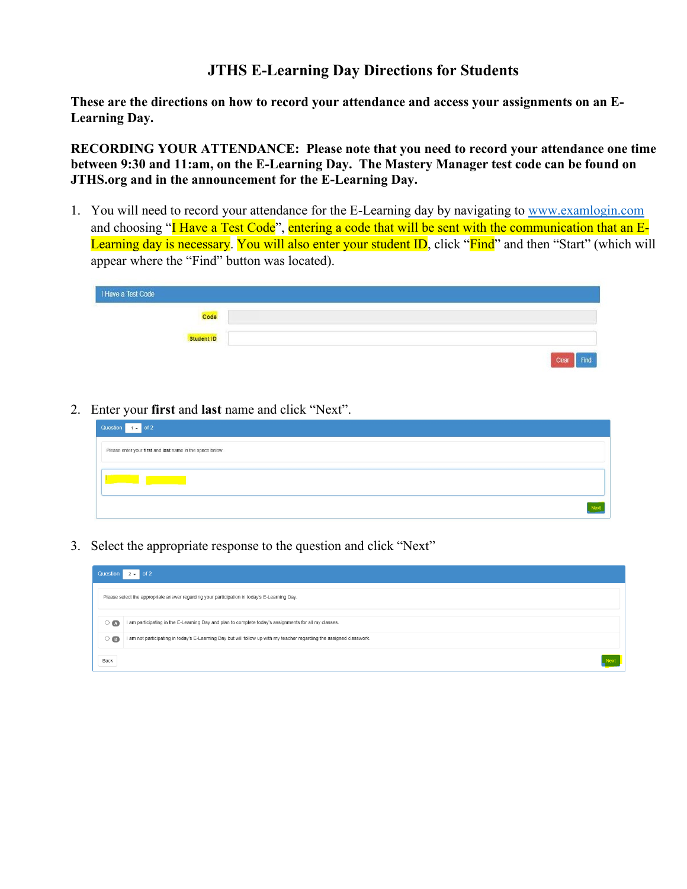## **JTHS E-Learning Day Directions for Students**

**These are the directions on how to record your attendance and access your assignments on an E-Learning Day.** 

**RECORDING YOUR ATTENDANCE: Please note that you need to record your attendance one time between 9:30 and 11:am, on the E-Learning Day. The Mastery Manager test code can be found on JTHS.org and in the announcement for the E-Learning Day.**

1. You will need to record your attendance for the E-Learning day by navigating to [www.examlogin.com](https://nam01.safelinks.protection.outlook.com/?url=http%3A%2F%2Fwww.Examlogin.com&data=01%7C01%7Ckharkin%40jths.org%7Cc372b0b53e4e4200ba7808d6ac98b531%7Cab9a5730b847451189f09ba220e17dad%7C0&sdata=DV89c9QAkgRr%2F35622cmUU4qA1NRrNPGiCrLisk4F9U%3D&reserved=0) and choosing "I Have a Test Code", entering a code that will be sent with the communication that an E-Learning day is necessary. You will also enter your student ID, click "Find" and then "Start" (which will appear where the "Find" button was located).

| I Have a Test Code |                      |
|--------------------|----------------------|
| Code               |                      |
| Student ID         |                      |
|                    | Clear<br><b>Sind</b> |

2. Enter your **first** and **last** name and click "Next".

| Question $1 -$ of 2                                       |  |  |
|-----------------------------------------------------------|--|--|
| Please enter your first and last name in the space below. |  |  |
|                                                           |  |  |
|                                                           |  |  |

3. Select the appropriate response to the question and click "Next"

| Question $2 \div $ of 2                                                                      |                                                                                                                       |  |  |
|----------------------------------------------------------------------------------------------|-----------------------------------------------------------------------------------------------------------------------|--|--|
| Please select the appropriate answer regarding your participation in today's E-Learning Day. |                                                                                                                       |  |  |
| $\circ$ $\bullet$                                                                            | I am participating in the E-Learning Day and plan to complete today's assignments for all my classes.                 |  |  |
| $\circ$ $\bullet$                                                                            | I am not participating in today's E-Learning Day but will follow up with my teacher regarding the assigned classwork. |  |  |
| Back                                                                                         |                                                                                                                       |  |  |